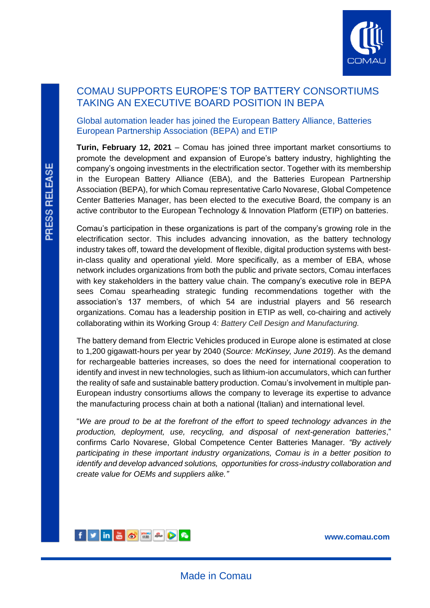

## COMAU SUPPORTS EUROPE'S TOP BATTERY CONSORTIUMS TAKING AN EXECUTIVE BOARD POSITION IN BEPA

## Global automation leader has joined the European Battery Alliance, Batteries European Partnership Association (BEPA) and ETIP

**Turin, February 12, 2021** – Comau has joined three important market consortiums to promote the development and expansion of Europe's battery industry, highlighting the company's ongoing investments in the electrification sector. Together with its membership in the European Battery Alliance (EBA), and the Batteries European Partnership Association (BEPA), for which Comau representative Carlo Novarese, Global Competence Center Batteries Manager, has been elected to the executive Board, the company is an active contributor to the European Technology & Innovation Platform (ETIP) on batteries.

Comau's participation in these organizations is part of the company's growing role in the electrification sector. This includes advancing innovation, as the battery technology industry takes off, toward the development of flexible, digital production systems with bestin-class quality and operational yield. More specifically, as a member of EBA, whose network includes organizations from both the public and private sectors, Comau interfaces with key stakeholders in the battery value chain. The company's executive role in BEPA sees Comau spearheading strategic funding recommendations together with the association's 137 members, of which 54 are industrial players and 56 research organizations. Comau has a leadership position in ETIP as well, co-chairing and actively collaborating within its Working Group 4: *Battery Cell Design and Manufacturing.*

The battery demand from Electric Vehicles produced in Europe alone is estimated at close to 1,200 gigawatt-hours per year by 2040 (*Source: McKinsey, June 2019*). As the demand for rechargeable batteries increases, so does the need for international cooperation to identify and invest in new technologies, such as lithium-ion accumulators, which can further the reality of safe and sustainable battery production. Comau's involvement in multiple pan-European industry consortiums allows the company to leverage its expertise to advance the manufacturing process chain at both a national (Italian) and international level.

"*We are proud to be at the forefront of the effort to speed technology advances in the production, deployment, use, recycling, and disposal of next-generation batteries*," confirms Carlo Novarese, Global Competence Center Batteries Manager*. "By actively participating in these important industry organizations, Comau is in a better position to identify and develop advanced solutions, opportunities for cross-industry collaboration and create value for OEMs and suppliers alike."*



**[www.comau.com](http://www.comau.com/EN)**

L